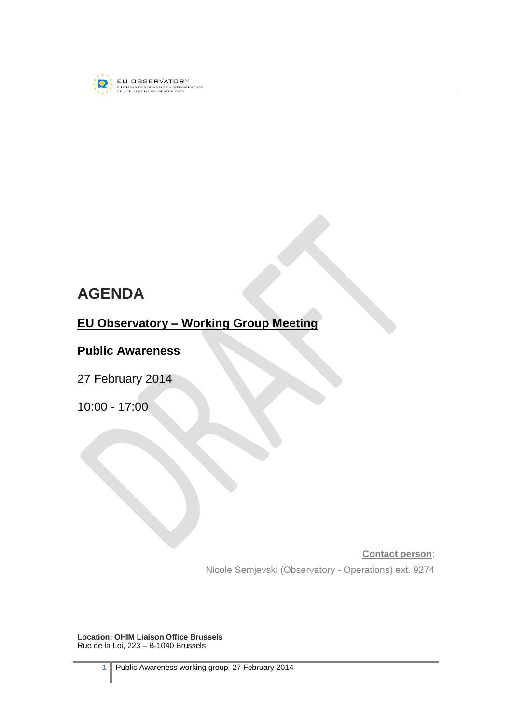

# **AGENDA**

## **EU Observatory – Working Group Meeting**

### **Public Awareness**

27 February 2014

10:00 - 17:00

**Contact person**:

Nicole Semjevski (Observatory - Operations) ext. 9274

**Location: OHIM Liaison Office Brussels** Rue de la Loi, 223 – B-1040 Brussels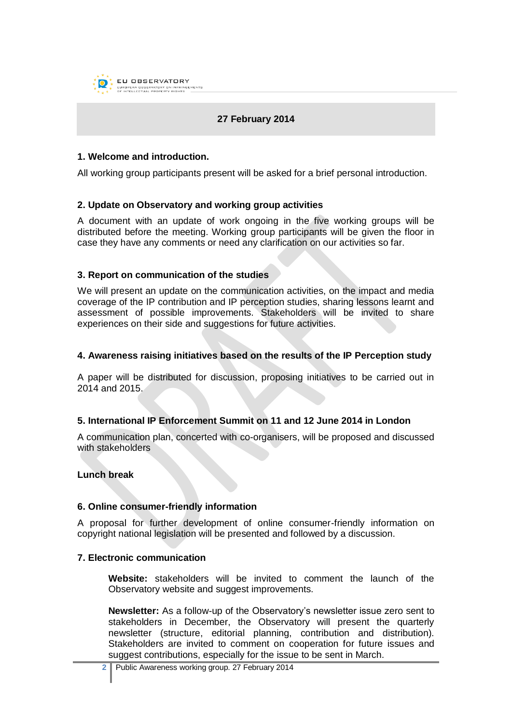

#### **27 February 2014**

#### **1. Welcome and introduction.**

All working group participants present will be asked for a brief personal introduction.

#### **2. Update on Observatory and working group activities**

A document with an update of work ongoing in the five working groups will be distributed before the meeting. Working group participants will be given the floor in case they have any comments or need any clarification on our activities so far.

#### **3. Report on communication of the studies**

We will present an update on the communication activities, on the impact and media coverage of the IP contribution and IP perception studies, sharing lessons learnt and assessment of possible improvements. Stakeholders will be invited to share experiences on their side and suggestions for future activities.

#### **4. Awareness raising initiatives based on the results of the IP Perception study**

A paper will be distributed for discussion, proposing initiatives to be carried out in 2014 and 2015.

#### **5. International IP Enforcement Summit on 11 and 12 June 2014 in London**

A communication plan, concerted with co-organisers, will be proposed and discussed with stakeholders

#### **Lunch break**

#### **6. Online consumer-friendly information**

A proposal for further development of online consumer-friendly information on copyright national legislation will be presented and followed by a discussion.

#### **7. Electronic communication**

**Website:** stakeholders will be invited to comment the launch of the Observatory website and suggest improvements.

**Newsletter:** As a follow-up of the Observatory's newsletter issue zero sent to stakeholders in December, the Observatory will present the quarterly newsletter (structure, editorial planning, contribution and distribution). Stakeholders are invited to comment on cooperation for future issues and suggest contributions, especially for the issue to be sent in March.